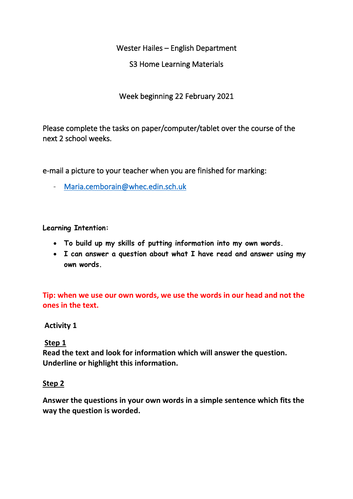Wester Hailes – English Department

S3 Home Learning Materials

Week beginning 22 February 2021

Please complete the tasks on paper/computer/tablet over the course of the next 2 school weeks.

e-mail a picture to your teacher when you are finished for marking:

- [Maria.cemborain@whec.edin.sch.uk](mailto:Maria.cemborain@whec.edin.sch.uk) 

**Learning Intention:**

- **To build up my skills of putting information into my own words.**
- **I can answer a question about what I have read and answer using my own words.**

**Tip: when we use our own words, we use the words in our head and not the ones in the text.**

### **Activity 1**

# **Step 1**

**Read the text and look for information which will answer the question. Underline or highlight this information.**

### **Step 2**

**Answer the questions in your own words in a simple sentence which fits the way the question is worded.**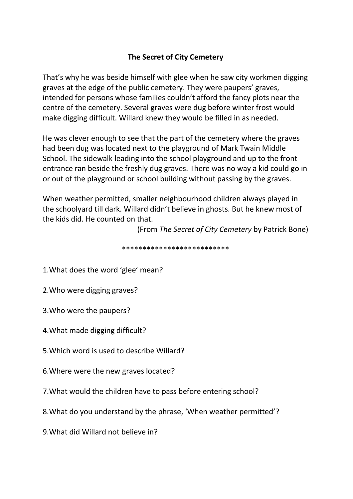# **The Secret of City Cemetery**

That's why he was beside himself with glee when he saw city workmen digging graves at the edge of the public cemetery. They were paupers' graves, intended for persons whose families couldn't afford the fancy plots near the centre of the cemetery. Several graves were dug before winter frost would make digging difficult. Willard knew they would be filled in as needed.

He was clever enough to see that the part of the cemetery where the graves had been dug was located next to the playground of Mark Twain Middle School. The sidewalk leading into the school playground and up to the front entrance ran beside the freshly dug graves. There was no way a kid could go in or out of the playground or school building without passing by the graves.

When weather permitted, smaller neighbourhood children always played in the schoolyard till dark. Willard didn't believe in ghosts. But he knew most of the kids did. He counted on that.

(From *The Secret of City Cemetery* by Patrick Bone)

\*\*\*\*\*\*\*\*\*\*\*\*\*\*\*\*\*\*\*\*\*\*\*\*\*\*

1.What does the word 'glee' mean?

2.Who were digging graves?

3.Who were the paupers?

4.What made digging difficult?

5.Which word is used to describe Willard? 

6.Where were the new graves located?

7.What would the children have to pass before entering school?

8.What do you understand by the phrase, 'When weather permitted'?

9.What did Willard not believe in?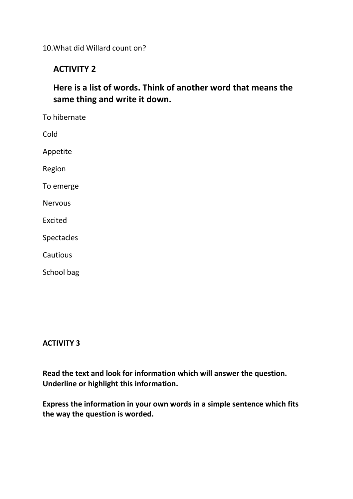10.What did Willard count on?

# **ACTIVITY 2**

**Here is a list of words. Think of another word that means the same thing and write it down.**

To hibernate Cold Appetite Region To emerge **Nervous** Excited Spectacles **Cautious** School bag

### **ACTIVITY 3**

**Read the text and look for information which will answer the question. Underline or highlight this information.**

**Express the information in your own words in a simple sentence which fits the way the question is worded.**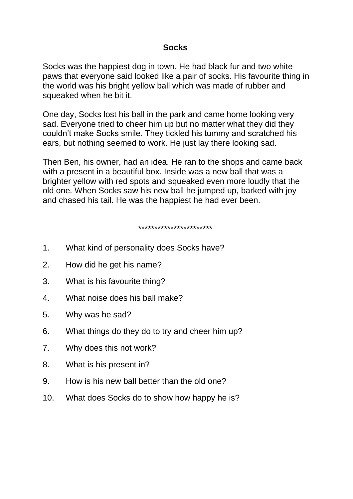# **Socks**

Socks was the happiest dog in town. He had black fur and two white paws that everyone said looked like a pair of socks. His favourite thing in the world was his bright yellow ball which was made of rubber and squeaked when he bit it.

One day, Socks lost his ball in the park and came home looking very sad. Everyone tried to cheer him up but no matter what they did they couldn't make Socks smile. They tickled his tummy and scratched his ears, but nothing seemed to work. He just lay there looking sad.

Then Ben, his owner, had an idea. He ran to the shops and came back with a present in a beautiful box. Inside was a new ball that was a brighter yellow with red spots and squeaked even more loudly that the old one. When Socks saw his new ball he jumped up, barked with joy and chased his tail. He was the happiest he had ever been.

#### \*\*\*\*\*\*\*\*\*\*\*\*\*\*\*\*\*\*\*\*\*\*\*

- 1. What kind of personality does Socks have?
- 2. How did he get his name?
- 3. What is his favourite thing?
- 4. What noise does his ball make?
- 5. Why was he sad?
- 6. What things do they do to try and cheer him up?
- 7. Why does this not work?
- 8. What is his present in?
- 9. How is his new ball better than the old one?
- 10. What does Socks do to show how happy he is?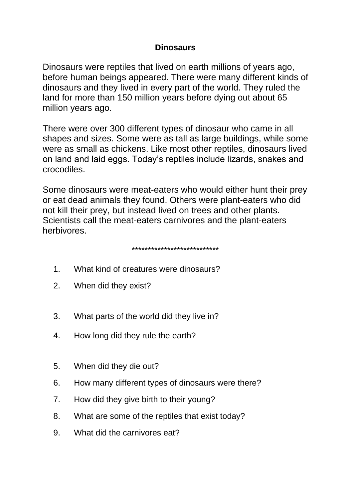# **Dinosaurs**

Dinosaurs were reptiles that lived on earth millions of years ago, before human beings appeared. There were many different kinds of dinosaurs and they lived in every part of the world. They ruled the land for more than 150 million years before dying out about 65 million years ago.

There were over 300 different types of dinosaur who came in all shapes and sizes. Some were as tall as large buildings, while some were as small as chickens. Like most other reptiles, dinosaurs lived on land and laid eggs. Today's reptiles include lizards, snakes and crocodiles.

Some dinosaurs were meat-eaters who would either hunt their prey or eat dead animals they found. Others were plant-eaters who did not kill their prey, but instead lived on trees and other plants. Scientists call the meat-eaters carnivores and the plant-eaters herbivores.

#### \*\*\*\*\*\*\*\*\*\*\*\*\*\*\*\*\*\*\*\*\*\*\*\*\*\*\*

- 1. What kind of creatures were dinosaurs?
- 2. When did they exist?
- 3. What parts of the world did they live in?
- 4. How long did they rule the earth?
- 5. When did they die out?
- 6. How many different types of dinosaurs were there?
- 7. How did they give birth to their young?
- 8. What are some of the reptiles that exist today?
- 9. What did the carnivores eat?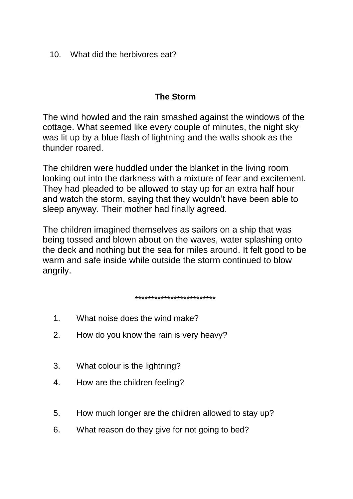10. What did the herbivores eat?

# **The Storm**

The wind howled and the rain smashed against the windows of the cottage. What seemed like every couple of minutes, the night sky was lit up by a blue flash of lightning and the walls shook as the thunder roared.

The children were huddled under the blanket in the living room looking out into the darkness with a mixture of fear and excitement. They had pleaded to be allowed to stay up for an extra half hour and watch the storm, saying that they wouldn't have been able to sleep anyway. Their mother had finally agreed.

The children imagined themselves as sailors on a ship that was being tossed and blown about on the waves, water splashing onto the deck and nothing but the sea for miles around. It felt good to be warm and safe inside while outside the storm continued to blow angrily.

#### \*\*\*\*\*\*\*\*\*\*\*\*\*\*\*\*\*\*\*\*\*\*\*\*\*

- 1. What noise does the wind make?
- 2. How do you know the rain is very heavy?
- 3. What colour is the lightning?
- 4. How are the children feeling?
- 5. How much longer are the children allowed to stay up?
- 6. What reason do they give for not going to bed?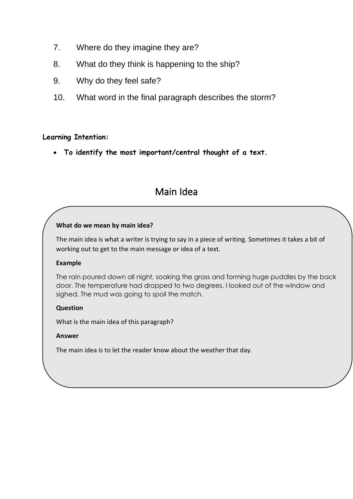- 7. Where do they imagine they are?
- 8. What do they think is happening to the ship?
- 9. Why do they feel safe?
- 10. What word in the final paragraph describes the storm?

### **Learning Intention:**

• **To identify the most important/central thought of a text.**

# Main Idea

#### **What do we mean by main idea?**

The main idea is what a writer is trying to say in a piece of writing. Sometimes it takes a bit of working out to get to the main message or idea of a text.

#### **Example**

The rain poured down all night, soaking the grass and forming huge puddles by the back door. The temperature had dropped to two degrees. I looked out of the window and sighed. The mud was going to spoil the match.

#### **Question**

What is the main idea of this paragraph?

#### **Answer**

The main idea is to let the reader know about the weather that day.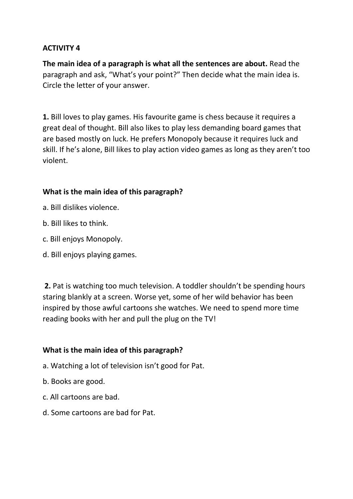# **ACTIVITY 4**

**The main idea of a paragraph is what all the sentences are about.** Read the paragraph and ask, "What's your point?" Then decide what the main idea is. Circle the letter of your answer.

**1.** Bill loves to play games. His favourite game is chess because it requires a great deal of thought. Bill also likes to play less demanding board games that are based mostly on luck. He prefers Monopoly because it requires luck and skill. If he's alone, Bill likes to play action video games as long as they aren't too violent.

# **What is the main idea of this paragraph?**

- a. Bill dislikes violence.
- b. Bill likes to think.
- c. Bill enjoys Monopoly.
- d. Bill enjoys playing games.

**2.** Pat is watching too much television. A toddler shouldn't be spending hours staring blankly at a screen. Worse yet, some of her wild behavior has been inspired by those awful cartoons she watches. We need to spend more time reading books with her and pull the plug on the TV!

# **What is the main idea of this paragraph?**

- a. Watching a lot of television isn't good for Pat.
- b. Books are good.
- c. All cartoons are bad.
- d. Some cartoons are bad for Pat.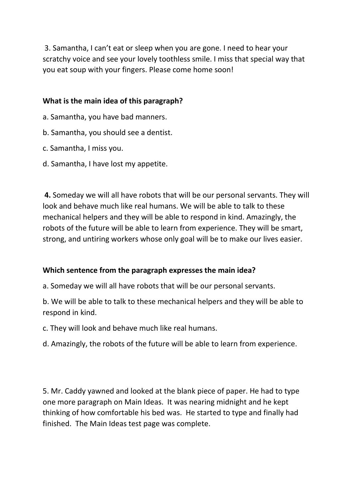3. Samantha, I can't eat or sleep when you are gone. I need to hear your scratchy voice and see your lovely toothless smile. I miss that special way that you eat soup with your fingers. Please come home soon!

### **What is the main idea of this paragraph?**

- a. Samantha, you have bad manners.
- b. Samantha, you should see a dentist.
- c. Samantha, I miss you.
- d. Samantha, I have lost my appetite.

**4.** Someday we will all have robots that will be our personal servants. They will look and behave much like real humans. We will be able to talk to these mechanical helpers and they will be able to respond in kind. Amazingly, the robots of the future will be able to learn from experience. They will be smart, strong, and untiring workers whose only goal will be to make our lives easier.

### **Which sentence from the paragraph expresses the main idea?**

a. Someday we will all have robots that will be our personal servants.

b. We will be able to talk to these mechanical helpers and they will be able to respond in kind.

c. They will look and behave much like real humans.

d. Amazingly, the robots of the future will be able to learn from experience.

5. Mr. Caddy yawned and looked at the blank piece of paper. He had to type one more paragraph on Main Ideas. It was nearing midnight and he kept thinking of how comfortable his bed was. He started to type and finally had finished. The Main Ideas test page was complete.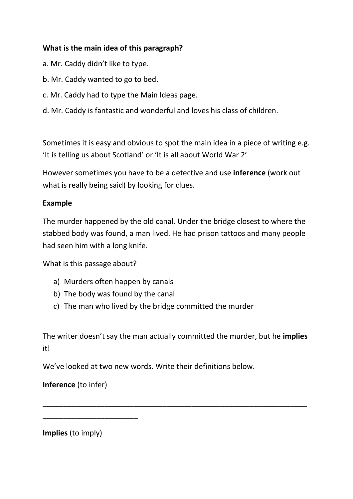# **What is the main idea of this paragraph?**

- a. Mr. Caddy didn't like to type.
- b. Mr. Caddy wanted to go to bed.
- c. Mr. Caddy had to type the Main Ideas page.
- d. Mr. Caddy is fantastic and wonderful and loves his class of children.

Sometimes it is easy and obvious to spot the main idea in a piece of writing e.g. 'It is telling us about Scotland' or 'It is all about World War 2'

However sometimes you have to be a detective and use **inference** (work out what is really being said) by looking for clues.

### **Example**

The murder happened by the old canal. Under the bridge closest to where the stabbed body was found, a man lived. He had prison tattoos and many people had seen him with a long knife.

What is this passage about?

- a) Murders often happen by canals
- b) The body was found by the canal
- c) The man who lived by the bridge committed the murder

The writer doesn't say the man actually committed the murder, but he **implies** it!

\_\_\_\_\_\_\_\_\_\_\_\_\_\_\_\_\_\_\_\_\_\_\_\_\_\_\_\_\_\_\_\_\_\_\_\_\_\_\_\_\_\_\_\_\_\_\_\_\_\_\_\_\_\_\_\_\_\_\_\_\_\_\_\_

We've looked at two new words. Write their definitions below.

# **Inference** (to infer)

\_\_\_\_\_\_\_\_\_\_\_\_\_\_\_\_\_\_\_\_\_\_\_

**Implies** (to imply)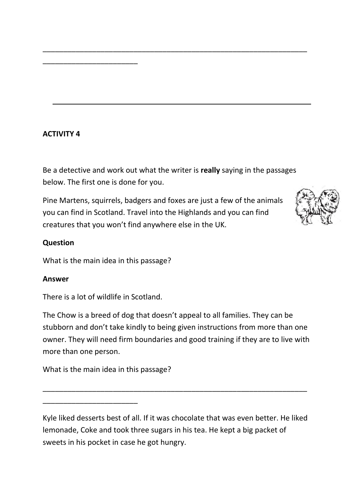# **ACTIVITY 4**

\_\_\_\_\_\_\_\_\_\_\_\_\_\_\_\_\_\_\_\_\_\_\_

Be a detective and work out what the writer is **really** saying in the passages below. The first one is done for you.

\_\_\_\_\_\_\_\_\_\_\_\_\_\_\_\_\_\_\_\_\_\_\_\_\_\_\_\_\_\_\_\_\_\_\_\_\_\_\_\_\_\_\_\_\_\_\_\_\_\_\_\_\_\_\_\_\_\_\_\_\_\_\_\_

Pine Martens, squirrels, badgers and foxes are just a few of the animals you can find in Scotland. Travel into the Highlands and you can find creatures that you won't find anywhere else in the UK.



### **Question**

What is the main idea in this passage?

#### **Answer**

There is a lot of wildlife in Scotland.

The Chow is a breed of dog that doesn't appeal to all families. They can be stubborn and don't take kindly to being given instructions from more than one owner. They will need firm boundaries and good training if they are to live with more than one person.

What is the main idea in this passage?

\_\_\_\_\_\_\_\_\_\_\_\_\_\_\_\_\_\_\_\_\_\_\_

Kyle liked desserts best of all. If it was chocolate that was even better. He liked lemonade, Coke and took three sugars in his tea. He kept a big packet of sweets in his pocket in case he got hungry.

\_\_\_\_\_\_\_\_\_\_\_\_\_\_\_\_\_\_\_\_\_\_\_\_\_\_\_\_\_\_\_\_\_\_\_\_\_\_\_\_\_\_\_\_\_\_\_\_\_\_\_\_\_\_\_\_\_\_\_\_\_\_\_\_